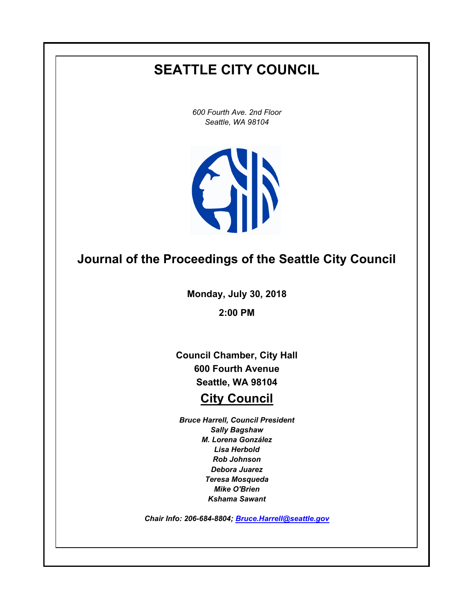# **SEATTLE CITY COUNCIL**

*600 Fourth Ave. 2nd Floor Seattle, WA 98104*



## **Journal of the Proceedings of the Seattle City Council**

**Monday, July 30, 2018**

**2:00 PM**

**Council Chamber, City Hall 600 Fourth Avenue Seattle, WA 98104**

## **City Council**

*Bruce Harrell, Council President Sally Bagshaw M. Lorena González Lisa Herbold Rob Johnson Debora Juarez Teresa Mosqueda Mike O'Brien Kshama Sawant*

*Chair Info: 206-684-8804; [Bruce.Harrell@seattle.gov](mailto:Bruce.Harrell@seattle.gov)*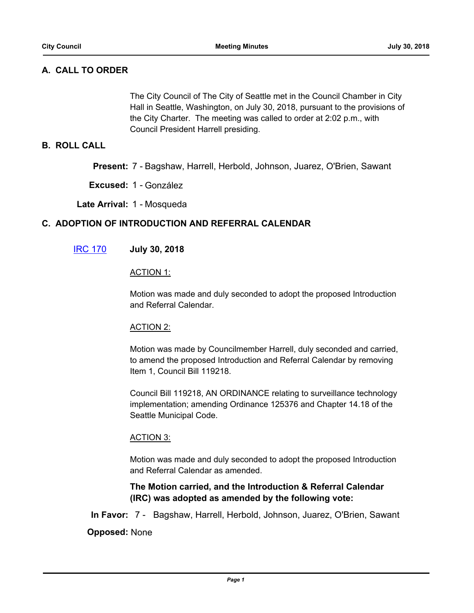## **A. CALL TO ORDER**

The City Council of The City of Seattle met in the Council Chamber in City Hall in Seattle, Washington, on July 30, 2018, pursuant to the provisions of the City Charter. The meeting was called to order at 2:02 p.m., with Council President Harrell presiding.

#### **B. ROLL CALL**

**Present:** 7 - Bagshaw, Harrell, Herbold, Johnson, Juarez, O'Brien, Sawant

**Excused:** 1 - González

**Late Arrival:** 1 - Mosqueda

#### **C. ADOPTION OF INTRODUCTION AND REFERRAL CALENDAR**

#### [IRC 170](http://seattle.legistar.com/gateway.aspx?m=l&id=/matter.aspx?key=7385) **July 30, 2018**

#### ACTION 1:

Motion was made and duly seconded to adopt the proposed Introduction and Referral Calendar.

#### ACTION 2:

Motion was made by Councilmember Harrell, duly seconded and carried, to amend the proposed Introduction and Referral Calendar by removing Item 1, Council Bill 119218.

Council Bill 119218, AN ORDINANCE relating to surveillance technology implementation; amending Ordinance 125376 and Chapter 14.18 of the Seattle Municipal Code.

#### ACTION 3:

Motion was made and duly seconded to adopt the proposed Introduction and Referral Calendar as amended.

**The Motion carried, and the Introduction & Referral Calendar (IRC) was adopted as amended by the following vote:**

**In Favor:** 7 - Bagshaw, Harrell, Herbold, Johnson, Juarez, O'Brien, Sawant

#### **Opposed:** None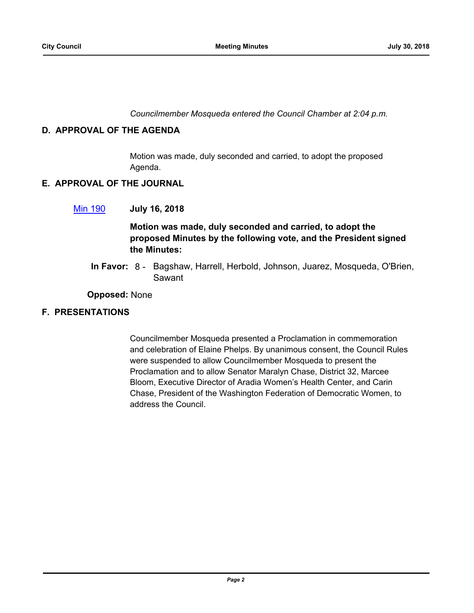*Councilmember Mosqueda entered the Council Chamber at 2:04 p.m.*

#### **D. APPROVAL OF THE AGENDA**

Motion was made, duly seconded and carried, to adopt the proposed Agenda.

#### **E. APPROVAL OF THE JOURNAL**

#### [Min 190](http://seattle.legistar.com/gateway.aspx?m=l&id=/matter.aspx?key=7374) **July 16, 2018**

## **Motion was made, duly seconded and carried, to adopt the proposed Minutes by the following vote, and the President signed the Minutes:**

In Favor: 8 - Bagshaw, Harrell, Herbold, Johnson, Juarez, Mosqueda, O'Brien, Sawant

#### **Opposed:** None

#### **F. PRESENTATIONS**

Councilmember Mosqueda presented a Proclamation in commemoration and celebration of Elaine Phelps. By unanimous consent, the Council Rules were suspended to allow Councilmember Mosqueda to present the Proclamation and to allow Senator Maralyn Chase, District 32, Marcee Bloom, Executive Director of Aradia Women's Health Center, and Carin Chase, President of the Washington Federation of Democratic Women, to address the Council.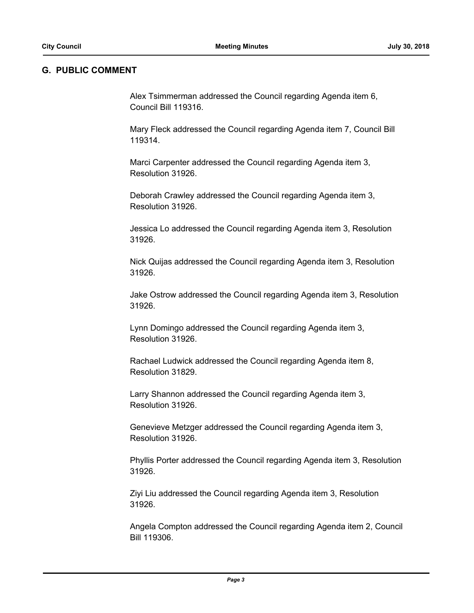#### **G. PUBLIC COMMENT**

Alex Tsimmerman addressed the Council regarding Agenda item 6, Council Bill 119316.

Mary Fleck addressed the Council regarding Agenda item 7, Council Bill 119314.

Marci Carpenter addressed the Council regarding Agenda item 3, Resolution 31926.

Deborah Crawley addressed the Council regarding Agenda item 3, Resolution 31926.

Jessica Lo addressed the Council regarding Agenda item 3, Resolution 31926.

Nick Quijas addressed the Council regarding Agenda item 3, Resolution 31926.

Jake Ostrow addressed the Council regarding Agenda item 3, Resolution 31926.

Lynn Domingo addressed the Council regarding Agenda item 3, Resolution 31926.

Rachael Ludwick addressed the Council regarding Agenda item 8, Resolution 31829.

Larry Shannon addressed the Council regarding Agenda item 3, Resolution 31926.

Genevieve Metzger addressed the Council regarding Agenda item 3, Resolution 31926.

Phyllis Porter addressed the Council regarding Agenda item 3, Resolution 31926.

Ziyi Liu addressed the Council regarding Agenda item 3, Resolution 31926.

Angela Compton addressed the Council regarding Agenda item 2, Council Bill 119306.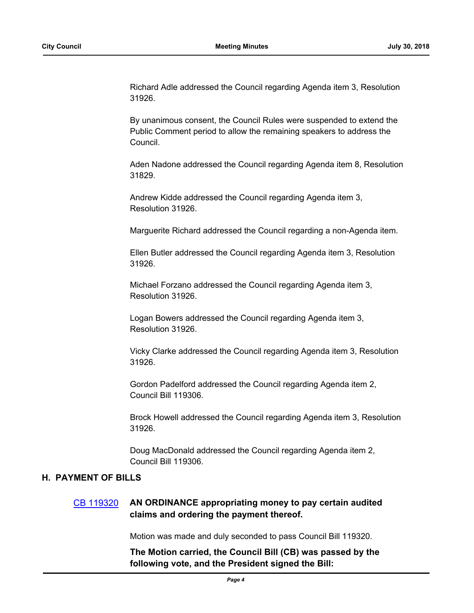Richard Adle addressed the Council regarding Agenda item 3, Resolution 31926.

By unanimous consent, the Council Rules were suspended to extend the Public Comment period to allow the remaining speakers to address the Council.

Aden Nadone addressed the Council regarding Agenda item 8, Resolution 31829.

Andrew Kidde addressed the Council regarding Agenda item 3, Resolution 31926.

Marguerite Richard addressed the Council regarding a non-Agenda item.

Ellen Butler addressed the Council regarding Agenda item 3, Resolution 31926.

Michael Forzano addressed the Council regarding Agenda item 3, Resolution 31926.

Logan Bowers addressed the Council regarding Agenda item 3, Resolution 31926.

Vicky Clarke addressed the Council regarding Agenda item 3, Resolution 31926.

Gordon Padelford addressed the Council regarding Agenda item 2, Council Bill 119306.

Brock Howell addressed the Council regarding Agenda item 3, Resolution 31926.

Doug MacDonald addressed the Council regarding Agenda item 2, Council Bill 119306.

#### **H. PAYMENT OF BILLS**

#### [CB 119320](http://seattle.legistar.com/gateway.aspx?m=l&id=/matter.aspx?key=7362) **AN ORDINANCE appropriating money to pay certain audited claims and ordering the payment thereof.**

Motion was made and duly seconded to pass Council Bill 119320.

**The Motion carried, the Council Bill (CB) was passed by the following vote, and the President signed the Bill:**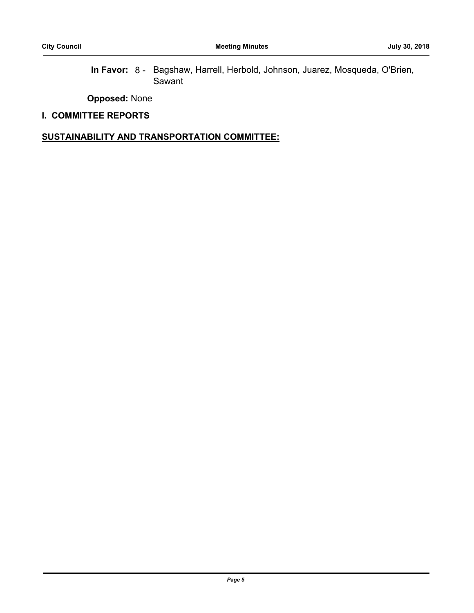In Favor: 8 - Bagshaw, Harrell, Herbold, Johnson, Juarez, Mosqueda, O'Brien, Sawant

**Opposed:** None

#### **I. COMMITTEE REPORTS**

#### **SUSTAINABILITY AND TRANSPORTATION COMMITTEE:**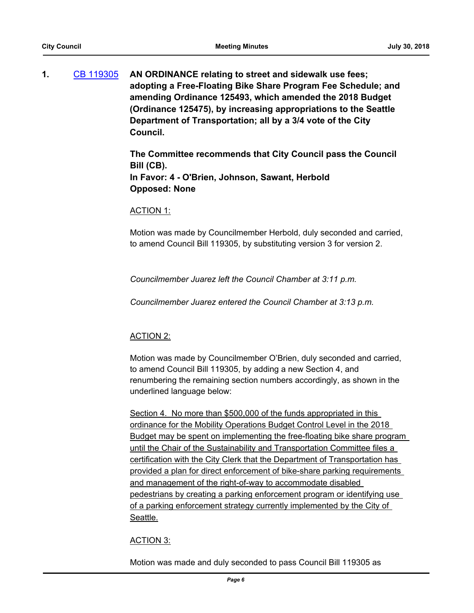**1.** [CB 119305](http://seattle.legistar.com/gateway.aspx?m=l&id=/matter.aspx?key=7180) **AN ORDINANCE relating to street and sidewalk use fees; adopting a Free-Floating Bike Share Program Fee Schedule; and amending Ordinance 125493, which amended the 2018 Budget (Ordinance 125475), by increasing appropriations to the Seattle Department of Transportation; all by a 3/4 vote of the City Council.**

> **The Committee recommends that City Council pass the Council Bill (CB). In Favor: 4 - O'Brien, Johnson, Sawant, Herbold Opposed: None**

#### ACTION 1:

Motion was made by Councilmember Herbold, duly seconded and carried, to amend Council Bill 119305, by substituting version 3 for version 2.

*Councilmember Juarez left the Council Chamber at 3:11 p.m.*

*Councilmember Juarez entered the Council Chamber at 3:13 p.m.*

#### ACTION 2:

Motion was made by Councilmember O'Brien, duly seconded and carried, to amend Council Bill 119305, by adding a new Section 4, and renumbering the remaining section numbers accordingly, as shown in the underlined language below:

Section 4. No more than \$500,000 of the funds appropriated in this ordinance for the Mobility Operations Budget Control Level in the 2018 Budget may be spent on implementing the free-floating bike share program until the Chair of the Sustainability and Transportation Committee files a certification with the City Clerk that the Department of Transportation has provided a plan for direct enforcement of bike-share parking requirements and management of the right-of-way to accommodate disabled pedestrians by creating a parking enforcement program or identifying use of a parking enforcement strategy currently implemented by the City of Seattle.

#### ACTION 3:

Motion was made and duly seconded to pass Council Bill 119305 as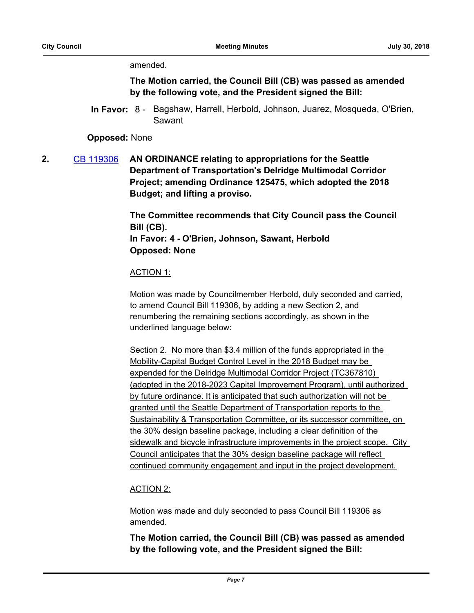amended.

**The Motion carried, the Council Bill (CB) was passed as amended by the following vote, and the President signed the Bill:**

In Favor: 8 - Bagshaw, Harrell, Herbold, Johnson, Juarez, Mosqueda, O'Brien, Sawant

**Opposed:** None

**2.** [CB 119306](http://seattle.legistar.com/gateway.aspx?m=l&id=/matter.aspx?key=7216) **AN ORDINANCE relating to appropriations for the Seattle Department of Transportation's Delridge Multimodal Corridor Project; amending Ordinance 125475, which adopted the 2018 Budget; and lifting a proviso.**

> **The Committee recommends that City Council pass the Council Bill (CB). In Favor: 4 - O'Brien, Johnson, Sawant, Herbold Opposed: None**

#### ACTION 1:

Motion was made by Councilmember Herbold, duly seconded and carried, to amend Council Bill 119306, by adding a new Section 2, and renumbering the remaining sections accordingly, as shown in the underlined language below:

Section 2. No more than \$3.4 million of the funds appropriated in the Mobility-Capital Budget Control Level in the 2018 Budget may be expended for the Delridge Multimodal Corridor Project (TC367810) (adopted in the 2018-2023 Capital Improvement Program), until authorized by future ordinance. It is anticipated that such authorization will not be granted until the Seattle Department of Transportation reports to the Sustainability & Transportation Committee, or its successor committee, on the 30% design baseline package, including a clear definition of the sidewalk and bicycle infrastructure improvements in the project scope. City Council anticipates that the 30% design baseline package will reflect continued community engagement and input in the project development.

## ACTION 2:

Motion was made and duly seconded to pass Council Bill 119306 as amended.

**The Motion carried, the Council Bill (CB) was passed as amended by the following vote, and the President signed the Bill:**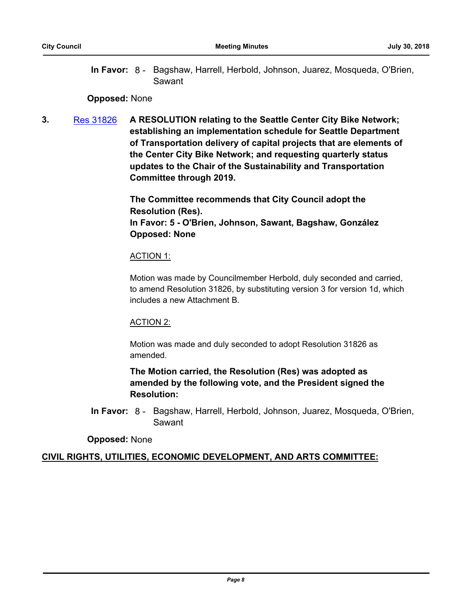In Favor: 8 - Bagshaw, Harrell, Herbold, Johnson, Juarez, Mosqueda, O'Brien, Sawant

#### **Opposed:** None

**3.** [Res 31826](http://seattle.legistar.com/gateway.aspx?m=l&id=/matter.aspx?key=7315) **A RESOLUTION relating to the Seattle Center City Bike Network; establishing an implementation schedule for Seattle Department of Transportation delivery of capital projects that are elements of the Center City Bike Network; and requesting quarterly status updates to the Chair of the Sustainability and Transportation Committee through 2019.**

> **The Committee recommends that City Council adopt the Resolution (Res). In Favor: 5 - O'Brien, Johnson, Sawant, Bagshaw, González Opposed: None**

#### ACTION 1:

Motion was made by Councilmember Herbold, duly seconded and carried, to amend Resolution 31826, by substituting version 3 for version 1d, which includes a new Attachment B.

#### ACTION 2:

Motion was made and duly seconded to adopt Resolution 31826 as amended.

**The Motion carried, the Resolution (Res) was adopted as amended by the following vote, and the President signed the Resolution:**

In Favor: 8 - Bagshaw, Harrell, Herbold, Johnson, Juarez, Mosqueda, O'Brien, Sawant

**Opposed:** None

#### **CIVIL RIGHTS, UTILITIES, ECONOMIC DEVELOPMENT, AND ARTS COMMITTEE:**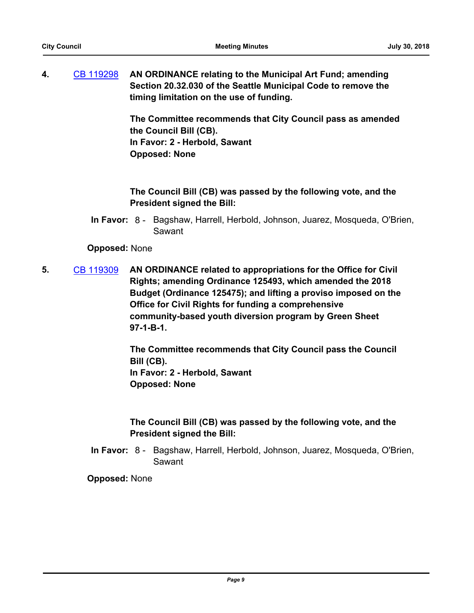**4.** [CB 119298](http://seattle.legistar.com/gateway.aspx?m=l&id=/matter.aspx?key=7181) **AN ORDINANCE relating to the Municipal Art Fund; amending Section 20.32.030 of the Seattle Municipal Code to remove the timing limitation on the use of funding.**

> **The Committee recommends that City Council pass as amended the Council Bill (CB). In Favor: 2 - Herbold, Sawant Opposed: None**

**The Council Bill (CB) was passed by the following vote, and the President signed the Bill:**

In Favor: 8 - Bagshaw, Harrell, Herbold, Johnson, Juarez, Mosqueda, O'Brien, Sawant

**Opposed:** None

**5.** [CB 119309](http://seattle.legistar.com/gateway.aspx?m=l&id=/matter.aspx?key=7258) **AN ORDINANCE related to appropriations for the Office for Civil Rights; amending Ordinance 125493, which amended the 2018 Budget (Ordinance 125475); and lifting a proviso imposed on the Office for Civil Rights for funding a comprehensive community-based youth diversion program by Green Sheet 97-1-B-1.**

> **The Committee recommends that City Council pass the Council Bill (CB). In Favor: 2 - Herbold, Sawant Opposed: None**

> **The Council Bill (CB) was passed by the following vote, and the President signed the Bill:**

In Favor: 8 - Bagshaw, Harrell, Herbold, Johnson, Juarez, Mosqueda, O'Brien, Sawant

**Opposed:** None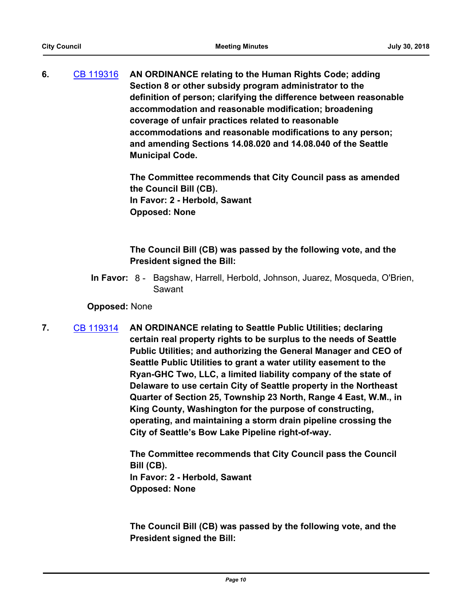**6.** [CB 119316](http://seattle.legistar.com/gateway.aspx?m=l&id=/matter.aspx?key=7331) **AN ORDINANCE relating to the Human Rights Code; adding Section 8 or other subsidy program administrator to the definition of person; clarifying the difference between reasonable accommodation and reasonable modification; broadening coverage of unfair practices related to reasonable accommodations and reasonable modifications to any person; and amending Sections 14.08.020 and 14.08.040 of the Seattle Municipal Code.**

> **The Committee recommends that City Council pass as amended the Council Bill (CB). In Favor: 2 - Herbold, Sawant Opposed: None**

## **The Council Bill (CB) was passed by the following vote, and the President signed the Bill:**

In Favor: 8 - Bagshaw, Harrell, Herbold, Johnson, Juarez, Mosqueda, O'Brien, Sawant

#### **Opposed:** None

**7.** [CB 119314](http://seattle.legistar.com/gateway.aspx?m=l&id=/matter.aspx?key=7229) **AN ORDINANCE relating to Seattle Public Utilities; declaring certain real property rights to be surplus to the needs of Seattle Public Utilities; and authorizing the General Manager and CEO of Seattle Public Utilities to grant a water utility easement to the Ryan-GHC Two, LLC, a limited liability company of the state of Delaware to use certain City of Seattle property in the Northeast Quarter of Section 25, Township 23 North, Range 4 East, W.M., in King County, Washington for the purpose of constructing, operating, and maintaining a storm drain pipeline crossing the City of Seattle's Bow Lake Pipeline right-of-way.**

> **The Committee recommends that City Council pass the Council Bill (CB). In Favor: 2 - Herbold, Sawant Opposed: None**

> **The Council Bill (CB) was passed by the following vote, and the President signed the Bill:**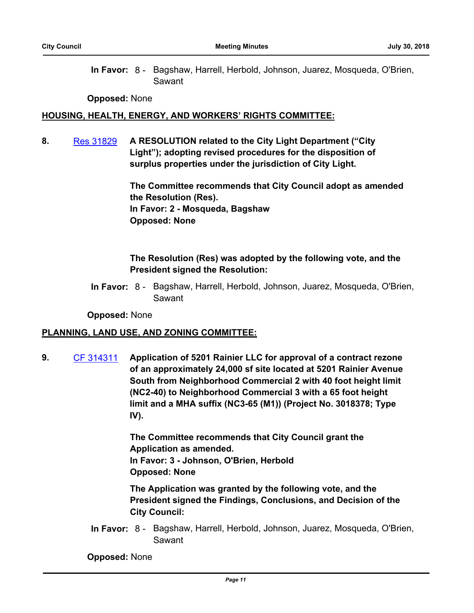In Favor: 8 - Bagshaw, Harrell, Herbold, Johnson, Juarez, Mosqueda, O'Brien, Sawant

**Opposed:** None

#### **HOUSING, HEALTH, ENERGY, AND WORKERS' RIGHTS COMMITTEE:**

**8.** [Res 31829](http://seattle.legistar.com/gateway.aspx?m=l&id=/matter.aspx?key=7328) **A RESOLUTION related to the City Light Department ("City Light"); adopting revised procedures for the disposition of surplus properties under the jurisdiction of City Light.**

> **The Committee recommends that City Council adopt as amended the Resolution (Res). In Favor: 2 - Mosqueda, Bagshaw Opposed: None**

### **The Resolution (Res) was adopted by the following vote, and the President signed the Resolution:**

In Favor: 8 - Bagshaw, Harrell, Herbold, Johnson, Juarez, Mosqueda, O'Brien, Sawant

**Opposed:** None

#### **PLANNING, LAND USE, AND ZONING COMMITTEE:**

**9.** [CF 314311](http://seattle.legistar.com/gateway.aspx?m=l&id=/matter.aspx?key=2628) **Application of 5201 Rainier LLC for approval of a contract rezone of an approximately 24,000 sf site located at 5201 Rainier Avenue South from Neighborhood Commercial 2 with 40 foot height limit (NC2-40) to Neighborhood Commercial 3 with a 65 foot height limit and a MHA suffix (NC3-65 (M1)) (Project No. 3018378; Type IV).**

> **The Committee recommends that City Council grant the Application as amended. In Favor: 3 - Johnson, O'Brien, Herbold Opposed: None**

**The Application was granted by the following vote, and the President signed the Findings, Conclusions, and Decision of the City Council:**

In Favor: 8 - Bagshaw, Harrell, Herbold, Johnson, Juarez, Mosqueda, O'Brien, Sawant

**Opposed:** None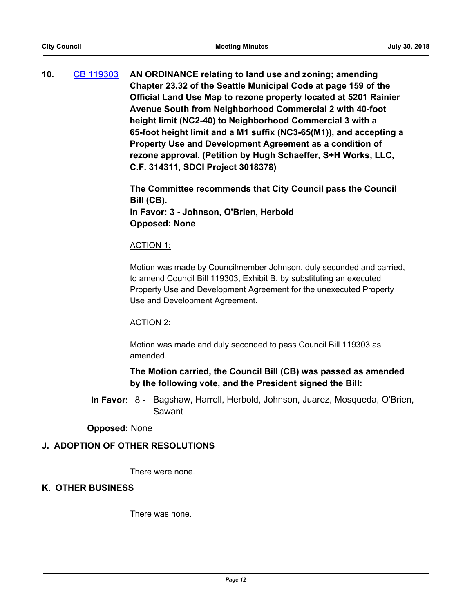**10.** [CB 119303](http://seattle.legistar.com/gateway.aspx?m=l&id=/matter.aspx?key=7318) **AN ORDINANCE relating to land use and zoning; amending Chapter 23.32 of the Seattle Municipal Code at page 159 of the Official Land Use Map to rezone property located at 5201 Rainier Avenue South from Neighborhood Commercial 2 with 40-foot height limit (NC2-40) to Neighborhood Commercial 3 with a 65-foot height limit and a M1 suffix (NC3-65(M1)), and accepting a Property Use and Development Agreement as a condition of rezone approval. (Petition by Hugh Schaeffer, S+H Works, LLC, C.F. 314311, SDCI Project 3018378)**

> **The Committee recommends that City Council pass the Council Bill (CB). In Favor: 3 - Johnson, O'Brien, Herbold Opposed: None**

#### ACTION 1:

Motion was made by Councilmember Johnson, duly seconded and carried, to amend Council Bill 119303, Exhibit B, by substituting an executed Property Use and Development Agreement for the unexecuted Property Use and Development Agreement.

#### ACTION 2:

Motion was made and duly seconded to pass Council Bill 119303 as amended.

## **The Motion carried, the Council Bill (CB) was passed as amended by the following vote, and the President signed the Bill:**

In Favor: 8 - Bagshaw, Harrell, Herbold, Johnson, Juarez, Mosqueda, O'Brien, Sawant

#### **Opposed:** None

#### **J. ADOPTION OF OTHER RESOLUTIONS**

There were none.

#### **K. OTHER BUSINESS**

There was none.